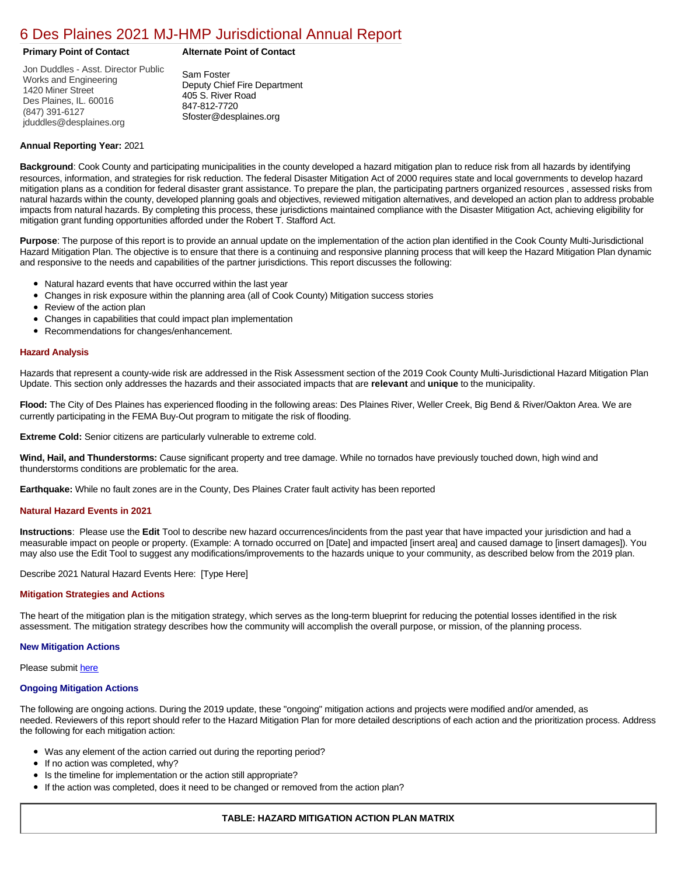## [6 Des Plaines 2021 MJ-HMP Jurisdictional Annual Report](https://desplaines.isc-cemp.com/Cemp/Details?id=8322759)

**Primary Point of Contact Alternate Point of Contact**

Jon Duddles - Asst. Director Public Works and Engineering 1420 Miner Street Des Plaines, IL. 60016 (847) 391-6127 jduddles@desplaines.org

Sam Foster Deputy Chief Fire Department 405 S. River Road 847-812-7720 Sfoster@desplaines.org

#### **Annual Reporting Year:** 2021

**Background**: Cook County and participating municipalities in the county developed a hazard mitigation plan to reduce risk from all hazards by identifying resources, information, and strategies for risk reduction. The federal Disaster Mitigation Act of 2000 requires state and local governments to develop hazard mitigation plans as a condition for federal disaster grant assistance. To prepare the plan, the participating partners organized resources , assessed risks from natural hazards within the county, developed planning goals and objectives, reviewed mitigation alternatives, and developed an action plan to address probable impacts from natural hazards. By completing this process, these jurisdictions maintained compliance with the Disaster Mitigation Act, achieving eligibility for mitigation grant funding opportunities afforded under the Robert T. Stafford Act.

**Purpose**: The purpose of this report is to provide an annual update on the implementation of the action plan identified in the Cook County Multi-Jurisdictional Hazard Mitigation Plan. The objective is to ensure that there is a continuing and responsive planning process that will keep the Hazard Mitigation Plan dynamic and responsive to the needs and capabilities of the partner jurisdictions. This report discusses the following:

- Natural hazard events that have occurred within the last year
- $\bullet$ Changes in risk exposure within the planning area (all of Cook County) Mitigation success stories
- $\bullet$ Review of the action plan
- Changes in capabilities that could impact plan implementation
- Recommendations for changes/enhancement.

#### **Hazard Analysis**

Hazards that represent a county-wide risk are addressed in the Risk Assessment section of the 2019 Cook County Multi-Jurisdictional Hazard Mitigation Plan Update. This section only addresses the hazards and their associated impacts that are **relevant** and **unique** to the municipality.

**Flood:** The City of Des Plaines has experienced flooding in the following areas: Des Plaines River, Weller Creek, Big Bend & River/Oakton Area. We are currently participating in the FEMA Buy-Out program to mitigate the risk of flooding.

**Extreme Cold:** Senior citizens are particularly vulnerable to extreme cold.

**Wind, Hail, and Thunderstorms:** Cause significant property and tree damage. While no tornados have previously touched down, high wind and thunderstorms conditions are problematic for the area.

**Earthquake:** While no fault zones are in the County, Des Plaines Crater fault activity has been reported

#### **Natural Hazard Events in 2021**

**Instructions**: Please use the **Edit** Tool to describe new hazard occurrences/incidents from the past year that have impacted your jurisdiction and had a measurable impact on people or property. (Example: A tornado occurred on [Date] and impacted [insert area] and caused damage to [insert damages]). You may also use the Edit Tool to suggest any modifications/improvements to the hazards unique to your community, as described below from the 2019 plan.

Describe 2021 Natural Hazard Events Here: [Type Here]

#### **Mitigation Strategies and Actions**

The heart of the mitigation plan is the mitigation strategy, which serves as the long-term blueprint for reducing the potential losses identified in the risk assessment. The mitigation strategy describes how the community will accomplish the overall purpose, or mission, of the planning process.

#### **New Mitigation Actions**

Please submit [here](https://integratedsolutions.wufoo.com/forms/mg21jvf0jn639o/)

#### **Ongoing Mitigation Actions**

The following are ongoing actions. During the 2019 update, these "ongoing" mitigation actions and projects were modified and/or amended, as needed. Reviewers of this report should refer to the Hazard Mitigation Plan for more detailed descriptions of each action and the prioritization process. Address the following for each mitigation action:

- Was any element of the action carried out during the reporting period?
- If no action was completed, why?  $\bullet$
- $\bullet$ Is the timeline for implementation or the action still appropriate?
- If the action was completed, does it need to be changed or removed from the action plan?

### **TABLE: HAZARD MITIGATION ACTION PLAN MATRIX**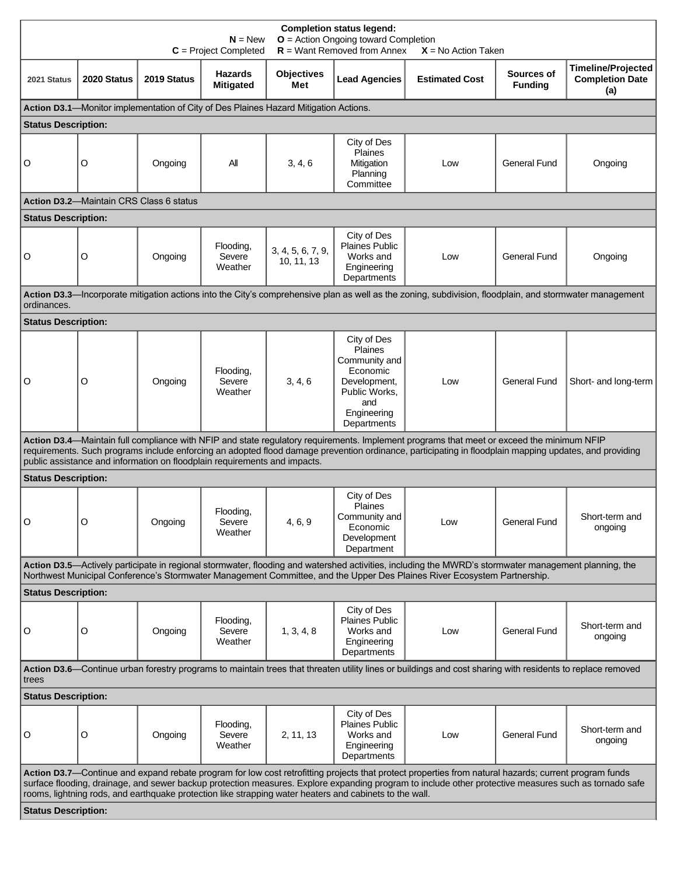| <b>Completion status legend:</b><br>$O =$ Action Ongoing toward Completion<br>$N = New$<br>$R =$ Want Removed from Annex<br>$C = Project Completed$<br>$X = No$ Action Taken                                                                                                                                                                                                                                              |                                         |             |                                                                           |                                                                                      |                                                                                                                                  |                                                                                                                                                                                                                                                                                                     |                              |                                                            |
|---------------------------------------------------------------------------------------------------------------------------------------------------------------------------------------------------------------------------------------------------------------------------------------------------------------------------------------------------------------------------------------------------------------------------|-----------------------------------------|-------------|---------------------------------------------------------------------------|--------------------------------------------------------------------------------------|----------------------------------------------------------------------------------------------------------------------------------|-----------------------------------------------------------------------------------------------------------------------------------------------------------------------------------------------------------------------------------------------------------------------------------------------------|------------------------------|------------------------------------------------------------|
| 2021 Status                                                                                                                                                                                                                                                                                                                                                                                                               | 2020 Status                             | 2019 Status | <b>Hazards</b><br><b>Mitigated</b>                                        | <b>Objectives</b><br>Met                                                             | <b>Lead Agencies</b>                                                                                                             | <b>Estimated Cost</b>                                                                                                                                                                                                                                                                               | Sources of<br><b>Funding</b> | <b>Timeline/Projected</b><br><b>Completion Date</b><br>(a) |
|                                                                                                                                                                                                                                                                                                                                                                                                                           |                                         |             |                                                                           | Action D3.1-Monitor implementation of City of Des Plaines Hazard Mitigation Actions. |                                                                                                                                  |                                                                                                                                                                                                                                                                                                     |                              |                                                            |
| <b>Status Description:</b>                                                                                                                                                                                                                                                                                                                                                                                                |                                         |             |                                                                           |                                                                                      |                                                                                                                                  |                                                                                                                                                                                                                                                                                                     |                              |                                                            |
| O                                                                                                                                                                                                                                                                                                                                                                                                                         | O                                       | Ongoing     | All                                                                       | 3, 4, 6                                                                              | City of Des<br><b>Plaines</b><br>Mitigation<br>Planning<br>Committee                                                             | Low                                                                                                                                                                                                                                                                                                 | <b>General Fund</b>          | Ongoing                                                    |
|                                                                                                                                                                                                                                                                                                                                                                                                                           | Action D3.2-Maintain CRS Class 6 status |             |                                                                           |                                                                                      |                                                                                                                                  |                                                                                                                                                                                                                                                                                                     |                              |                                                            |
| <b>Status Description:</b>                                                                                                                                                                                                                                                                                                                                                                                                |                                         |             |                                                                           |                                                                                      |                                                                                                                                  |                                                                                                                                                                                                                                                                                                     |                              |                                                            |
| O                                                                                                                                                                                                                                                                                                                                                                                                                         | O                                       | Ongoing     | Flooding,<br>Severe<br>Weather                                            | 3, 4, 5, 6, 7, 9,<br>10, 11, 13                                                      | City of Des<br>Plaines Public<br>Works and<br>Engineering<br>Departments                                                         | Low                                                                                                                                                                                                                                                                                                 | <b>General Fund</b>          | Ongoing                                                    |
|                                                                                                                                                                                                                                                                                                                                                                                                                           |                                         |             |                                                                           |                                                                                      |                                                                                                                                  | Action D3.3—Incorporate mitigation actions into the City's comprehensive plan as well as the zoning, subdivision, floodplain, and stormwater management                                                                                                                                             |                              |                                                            |
| ordinances.<br><b>Status Description:</b>                                                                                                                                                                                                                                                                                                                                                                                 |                                         |             |                                                                           |                                                                                      |                                                                                                                                  |                                                                                                                                                                                                                                                                                                     |                              |                                                            |
|                                                                                                                                                                                                                                                                                                                                                                                                                           |                                         |             |                                                                           |                                                                                      |                                                                                                                                  |                                                                                                                                                                                                                                                                                                     |                              |                                                            |
| O                                                                                                                                                                                                                                                                                                                                                                                                                         | O                                       | Ongoing     | Flooding,<br>Severe<br>Weather                                            | 3, 4, 6                                                                              | City of Des<br><b>Plaines</b><br>Community and<br>Economic<br>Development,<br>Public Works,<br>and<br>Engineering<br>Departments | Low                                                                                                                                                                                                                                                                                                 | <b>General Fund</b>          | Short- and long-term                                       |
|                                                                                                                                                                                                                                                                                                                                                                                                                           |                                         |             | public assistance and information on floodplain requirements and impacts. |                                                                                      |                                                                                                                                  | Action D3.4-Maintain full compliance with NFIP and state regulatory requirements. Implement programs that meet or exceed the minimum NFIP<br>requirements. Such programs include enforcing an adopted flood damage prevention ordinance, participating in floodplain mapping updates, and providing |                              |                                                            |
| <b>Status Description:</b>                                                                                                                                                                                                                                                                                                                                                                                                |                                         |             |                                                                           |                                                                                      |                                                                                                                                  |                                                                                                                                                                                                                                                                                                     |                              |                                                            |
| 0 l                                                                                                                                                                                                                                                                                                                                                                                                                       | O                                       | Ongoing     | Flooding.<br>Severe<br>Weather                                            | 4, 6, 9                                                                              | City of Des<br>Plaines<br>Community and<br>Economic<br>Development<br>Department                                                 | Low                                                                                                                                                                                                                                                                                                 | <b>General Fund</b>          | Short-term and<br>ongoing                                  |
|                                                                                                                                                                                                                                                                                                                                                                                                                           |                                         |             |                                                                           |                                                                                      |                                                                                                                                  | Action D3.5—Actively participate in regional stormwater, flooding and watershed activities, including the MWRD's stormwater management planning, the                                                                                                                                                |                              |                                                            |
|                                                                                                                                                                                                                                                                                                                                                                                                                           |                                         |             |                                                                           |                                                                                      |                                                                                                                                  | Northwest Municipal Conference's Stormwater Management Committee, and the Upper Des Plaines River Ecosystem Partnership.                                                                                                                                                                            |                              |                                                            |
| <b>Status Description:</b>                                                                                                                                                                                                                                                                                                                                                                                                |                                         |             |                                                                           |                                                                                      |                                                                                                                                  |                                                                                                                                                                                                                                                                                                     |                              |                                                            |
| O                                                                                                                                                                                                                                                                                                                                                                                                                         | O                                       | Ongoing     | Flooding,<br>Severe<br>Weather                                            | 1, 3, 4, 8                                                                           | City of Des<br><b>Plaines Public</b><br>Works and<br>Engineering<br>Departments                                                  | Low                                                                                                                                                                                                                                                                                                 | <b>General Fund</b>          | Short-term and<br>ongoing                                  |
| Action D3.6—Continue urban forestry programs to maintain trees that threaten utility lines or buildings and cost sharing with residents to replace removed<br>trees                                                                                                                                                                                                                                                       |                                         |             |                                                                           |                                                                                      |                                                                                                                                  |                                                                                                                                                                                                                                                                                                     |                              |                                                            |
| <b>Status Description:</b>                                                                                                                                                                                                                                                                                                                                                                                                |                                         |             |                                                                           |                                                                                      |                                                                                                                                  |                                                                                                                                                                                                                                                                                                     |                              |                                                            |
| O                                                                                                                                                                                                                                                                                                                                                                                                                         | O                                       | Ongoing     | Flooding,<br>Severe<br>Weather                                            | 2, 11, 13                                                                            | City of Des<br><b>Plaines Public</b><br>Works and<br>Engineering<br>Departments                                                  | Low                                                                                                                                                                                                                                                                                                 | General Fund                 | Short-term and<br>ongoing                                  |
| Action D3.7—Continue and expand rebate program for low cost retrofitting projects that protect properties from natural hazards; current program funds<br>surface flooding, drainage, and sewer backup protection measures. Explore expanding program to include other protective measures such as tornado safe<br>rooms, lightning rods, and earthquake protection like strapping water heaters and cabinets to the wall. |                                         |             |                                                                           |                                                                                      |                                                                                                                                  |                                                                                                                                                                                                                                                                                                     |                              |                                                            |
|                                                                                                                                                                                                                                                                                                                                                                                                                           | <b>Status Description:</b>              |             |                                                                           |                                                                                      |                                                                                                                                  |                                                                                                                                                                                                                                                                                                     |                              |                                                            |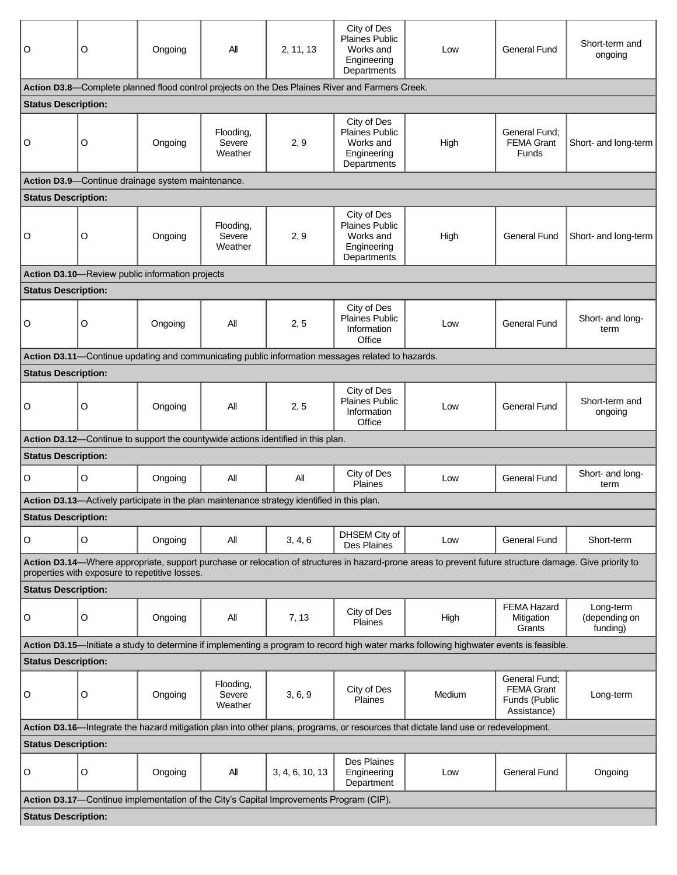| O                                                                                                                                  | O | Ongoing                                           | All                            | 2, 11, 13                                                                                   | City of Des<br><b>Plaines Public</b><br>Works and<br>Engineering<br>Departments                  | Low                                                                                                                                                     | <b>General Fund</b>                                                | Short-term and<br>ongoing              |
|------------------------------------------------------------------------------------------------------------------------------------|---|---------------------------------------------------|--------------------------------|---------------------------------------------------------------------------------------------|--------------------------------------------------------------------------------------------------|---------------------------------------------------------------------------------------------------------------------------------------------------------|--------------------------------------------------------------------|----------------------------------------|
|                                                                                                                                    |   |                                                   |                                |                                                                                             | Action D3.8—Complete planned flood control projects on the Des Plaines River and Farmers Creek.  |                                                                                                                                                         |                                                                    |                                        |
| <b>Status Description:</b>                                                                                                         |   |                                                   |                                |                                                                                             |                                                                                                  |                                                                                                                                                         |                                                                    |                                        |
| O                                                                                                                                  | O | Ongoing                                           | Flooding,<br>Severe<br>Weather | 2, 9                                                                                        | City of Des<br><b>Plaines Public</b><br>Works and<br>Engineering<br>Departments                  | High                                                                                                                                                    | General Fund;<br><b>FEMA Grant</b><br>Funds                        | Short- and long-term                   |
|                                                                                                                                    |   | Action D3.9-Continue drainage system maintenance. |                                |                                                                                             |                                                                                                  |                                                                                                                                                         |                                                                    |                                        |
| <b>Status Description:</b>                                                                                                         |   |                                                   |                                |                                                                                             |                                                                                                  |                                                                                                                                                         |                                                                    |                                        |
| O                                                                                                                                  | O | Ongoing                                           | Flooding,<br>Severe<br>Weather | 2, 9                                                                                        | City of Des<br><b>Plaines Public</b><br>Works and<br>Engineering<br>Departments                  | High                                                                                                                                                    | <b>General Fund</b>                                                | Short- and long-term                   |
|                                                                                                                                    |   | Action D3.10-Review public information projects   |                                |                                                                                             |                                                                                                  |                                                                                                                                                         |                                                                    |                                        |
| <b>Status Description:</b>                                                                                                         |   |                                                   |                                |                                                                                             |                                                                                                  |                                                                                                                                                         |                                                                    |                                        |
| O                                                                                                                                  | O | Ongoing                                           | All                            | 2, 5                                                                                        | City of Des<br><b>Plaines Public</b><br>Information<br>Office                                    | Low                                                                                                                                                     | <b>General Fund</b>                                                | Short- and long-<br>term               |
|                                                                                                                                    |   |                                                   |                                |                                                                                             | Action D3.11-Continue updating and communicating public information messages related to hazards. |                                                                                                                                                         |                                                                    |                                        |
| <b>Status Description:</b>                                                                                                         |   |                                                   |                                |                                                                                             |                                                                                                  |                                                                                                                                                         |                                                                    |                                        |
| O                                                                                                                                  | O | Ongoing                                           | All                            | 2, 5                                                                                        | City of Des<br><b>Plaines Public</b><br>Information<br>Office                                    | Low                                                                                                                                                     | <b>General Fund</b>                                                | Short-term and<br>ongoing              |
| Action D3.12-Continue to support the countywide actions identified in this plan.                                                   |   |                                                   |                                |                                                                                             |                                                                                                  |                                                                                                                                                         |                                                                    |                                        |
| <b>Status Description:</b>                                                                                                         |   |                                                   |                                |                                                                                             |                                                                                                  |                                                                                                                                                         |                                                                    |                                        |
| $\mathsf O$                                                                                                                        | O | Ongoing                                           | All                            | All                                                                                         | City of Des<br>Plaines                                                                           | Low                                                                                                                                                     | <b>General Fund</b>                                                | Short- and long-<br>term               |
|                                                                                                                                    |   |                                                   |                                | Action D3.13—Actively participate in the plan maintenance strategy identified in this plan. |                                                                                                  |                                                                                                                                                         |                                                                    |                                        |
| <b>Status Description:</b>                                                                                                         |   |                                                   |                                |                                                                                             |                                                                                                  |                                                                                                                                                         |                                                                    |                                        |
| O                                                                                                                                  | O | Ongoing                                           | All                            | 3, 4, 6                                                                                     | DHSEM City of<br>Des Plaines                                                                     | Low                                                                                                                                                     | <b>General Fund</b>                                                | Short-term                             |
|                                                                                                                                    |   | properties with exposure to repetitive losses.    |                                |                                                                                             |                                                                                                  | Action D3.14—Where appropriate, support purchase or relocation of structures in hazard-prone areas to prevent future structure damage. Give priority to |                                                                    |                                        |
| <b>Status Description:</b>                                                                                                         |   |                                                   |                                |                                                                                             |                                                                                                  |                                                                                                                                                         |                                                                    |                                        |
| O                                                                                                                                  | O | Ongoing                                           | All                            | 7, 13                                                                                       | City of Des<br>Plaines                                                                           | High                                                                                                                                                    | <b>FEMA Hazard</b><br>Mitigation<br>Grants                         | Long-term<br>(depending on<br>funding) |
|                                                                                                                                    |   |                                                   |                                |                                                                                             |                                                                                                  | Action D3.15—Initiate a study to determine if implementing a program to record high water marks following highwater events is feasible.                 |                                                                    |                                        |
| <b>Status Description:</b>                                                                                                         |   |                                                   |                                |                                                                                             |                                                                                                  |                                                                                                                                                         |                                                                    |                                        |
| O                                                                                                                                  | O | Ongoing                                           | Flooding,<br>Severe<br>Weather | 3, 6, 9                                                                                     | City of Des<br><b>Plaines</b>                                                                    | Medium                                                                                                                                                  | General Fund;<br><b>FEMA Grant</b><br>Funds (Public<br>Assistance) | Long-term                              |
| Action D3.16-Integrate the hazard mitigation plan into other plans, programs, or resources that dictate land use or redevelopment. |   |                                                   |                                |                                                                                             |                                                                                                  |                                                                                                                                                         |                                                                    |                                        |
| <b>Status Description:</b>                                                                                                         |   |                                                   |                                |                                                                                             |                                                                                                  |                                                                                                                                                         |                                                                    |                                        |
| O                                                                                                                                  | O | Ongoing                                           | All                            | 3, 4, 6, 10, 13                                                                             | Des Plaines<br>Engineering<br>Department                                                         | Low                                                                                                                                                     | <b>General Fund</b>                                                | Ongoing                                |
| Action D3.17—Continue implementation of the City's Capital Improvements Program (CIP).                                             |   |                                                   |                                |                                                                                             |                                                                                                  |                                                                                                                                                         |                                                                    |                                        |
| <b>Status Description:</b>                                                                                                         |   |                                                   |                                |                                                                                             |                                                                                                  |                                                                                                                                                         |                                                                    |                                        |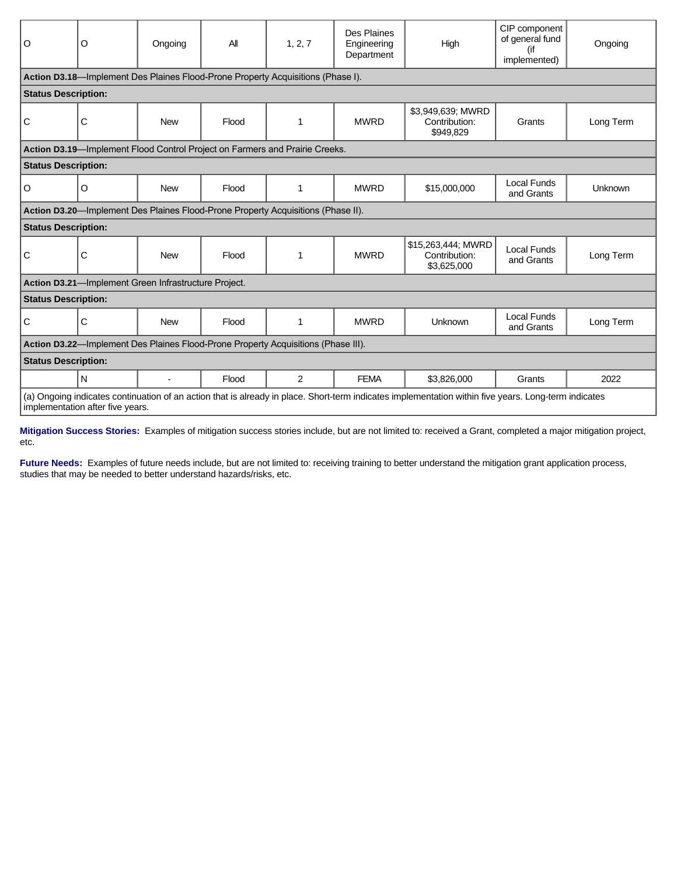| O                                                                                                                                                                                        | O                                                    | Ongoing    | All   | 1, 2, 7                                                                          | Des Plaines<br>Engineering<br>Department | High                                               | CIP component<br>of general fund<br>(if<br>implemented) | Ongoing   |
|------------------------------------------------------------------------------------------------------------------------------------------------------------------------------------------|------------------------------------------------------|------------|-------|----------------------------------------------------------------------------------|------------------------------------------|----------------------------------------------------|---------------------------------------------------------|-----------|
|                                                                                                                                                                                          |                                                      |            |       | Action D3.18—Implement Des Plaines Flood-Prone Property Acquisitions (Phase I).  |                                          |                                                    |                                                         |           |
| <b>Status Description:</b>                                                                                                                                                               |                                                      |            |       |                                                                                  |                                          |                                                    |                                                         |           |
| С                                                                                                                                                                                        | C                                                    | <b>New</b> | Flood | 1                                                                                | <b>MWRD</b>                              | \$3,949,639; MWRD<br>Contribution:<br>\$949,829    | Grants                                                  | Long Term |
|                                                                                                                                                                                          |                                                      |            |       | Action D3.19-Implement Flood Control Project on Farmers and Prairie Creeks.      |                                          |                                                    |                                                         |           |
|                                                                                                                                                                                          | <b>Status Description:</b>                           |            |       |                                                                                  |                                          |                                                    |                                                         |           |
| O                                                                                                                                                                                        | O                                                    | <b>New</b> | Flood | 1                                                                                | <b>MWRD</b>                              | \$15,000,000                                       | <b>Local Funds</b><br>and Grants                        | Unknown   |
|                                                                                                                                                                                          |                                                      |            |       | Action D3.20-Implement Des Plaines Flood-Prone Property Acquisitions (Phase II). |                                          |                                                    |                                                         |           |
| <b>Status Description:</b>                                                                                                                                                               |                                                      |            |       |                                                                                  |                                          |                                                    |                                                         |           |
| C                                                                                                                                                                                        | C                                                    | <b>New</b> | Flood | 1                                                                                | <b>MWRD</b>                              | \$15,263,444; MWRD<br>Contribution:<br>\$3,625,000 | Local Funds<br>and Grants                               | Long Term |
|                                                                                                                                                                                          | Action D3.21-Implement Green Infrastructure Project. |            |       |                                                                                  |                                          |                                                    |                                                         |           |
|                                                                                                                                                                                          | <b>Status Description:</b>                           |            |       |                                                                                  |                                          |                                                    |                                                         |           |
| C                                                                                                                                                                                        | $\mathsf{C}$                                         | <b>New</b> | Flood | 1                                                                                | <b>MWRD</b>                              | Unknown                                            | Local Funds<br>and Grants                               | Long Term |
| Action D3.22-Implement Des Plaines Flood-Prone Property Acquisitions (Phase III).                                                                                                        |                                                      |            |       |                                                                                  |                                          |                                                    |                                                         |           |
| <b>Status Description:</b>                                                                                                                                                               |                                                      |            |       |                                                                                  |                                          |                                                    |                                                         |           |
|                                                                                                                                                                                          | N                                                    |            | Flood | $\overline{2}$                                                                   | <b>FEMA</b>                              | \$3,826,000                                        | Grants                                                  | 2022      |
| (a) Ongoing indicates continuation of an action that is already in place. Short-term indicates implementation within five years. Long-term indicates<br>implementation after five years. |                                                      |            |       |                                                                                  |                                          |                                                    |                                                         |           |

**Mitigation Success Stories:** Examples of mitigation success stories include, but are not limited to: received a Grant, completed a major mitigation project, etc.

Future Needs: Examples of future needs include, but are not limited to: receiving training to better understand the mitigation grant application process, studies that may be needed to better understand hazards/risks, etc.